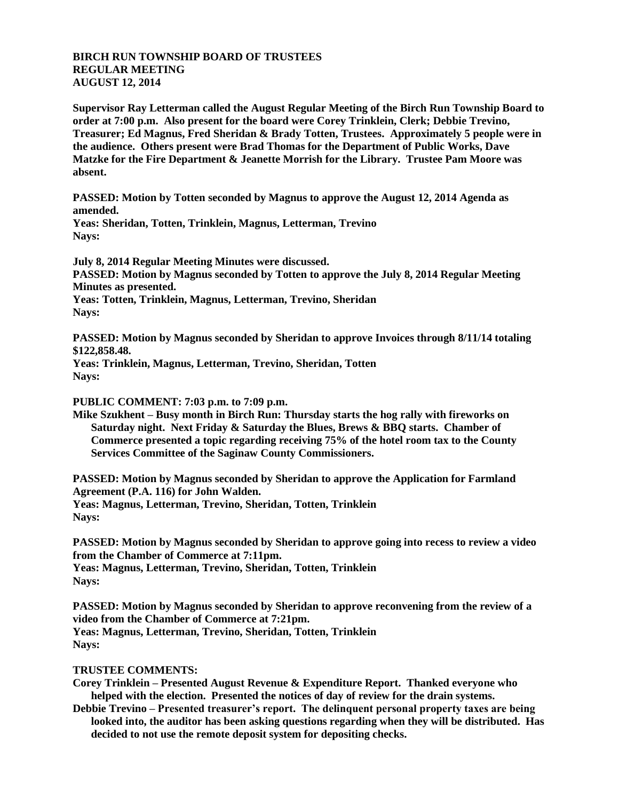## **BIRCH RUN TOWNSHIP BOARD OF TRUSTEES REGULAR MEETING AUGUST 12, 2014**

**Supervisor Ray Letterman called the August Regular Meeting of the Birch Run Township Board to order at 7:00 p.m. Also present for the board were Corey Trinklein, Clerk; Debbie Trevino, Treasurer; Ed Magnus, Fred Sheridan & Brady Totten, Trustees. Approximately 5 people were in the audience. Others present were Brad Thomas for the Department of Public Works, Dave Matzke for the Fire Department & Jeanette Morrish for the Library. Trustee Pam Moore was absent.**

**PASSED: Motion by Totten seconded by Magnus to approve the August 12, 2014 Agenda as amended.**

**Yeas: Sheridan, Totten, Trinklein, Magnus, Letterman, Trevino Nays:** 

**July 8, 2014 Regular Meeting Minutes were discussed. PASSED: Motion by Magnus seconded by Totten to approve the July 8, 2014 Regular Meeting Minutes as presented. Yeas: Totten, Trinklein, Magnus, Letterman, Trevino, Sheridan**

**Nays:** 

**PASSED: Motion by Magnus seconded by Sheridan to approve Invoices through 8/11/14 totaling \$122,858.48.**

**Yeas: Trinklein, Magnus, Letterman, Trevino, Sheridan, Totten Nays:**

**PUBLIC COMMENT: 7:03 p.m. to 7:09 p.m.**

**Mike Szukhent – Busy month in Birch Run: Thursday starts the hog rally with fireworks on Saturday night. Next Friday & Saturday the Blues, Brews & BBQ starts. Chamber of Commerce presented a topic regarding receiving 75% of the hotel room tax to the County Services Committee of the Saginaw County Commissioners.**

**PASSED: Motion by Magnus seconded by Sheridan to approve the Application for Farmland Agreement (P.A. 116) for John Walden. Yeas: Magnus, Letterman, Trevino, Sheridan, Totten, Trinklein Nays:**

**PASSED: Motion by Magnus seconded by Sheridan to approve going into recess to review a video from the Chamber of Commerce at 7:11pm. Yeas: Magnus, Letterman, Trevino, Sheridan, Totten, Trinklein Nays:**

**PASSED: Motion by Magnus seconded by Sheridan to approve reconvening from the review of a video from the Chamber of Commerce at 7:21pm. Yeas: Magnus, Letterman, Trevino, Sheridan, Totten, Trinklein Nays:**

## **TRUSTEE COMMENTS:**

**Corey Trinklein – Presented August Revenue & Expenditure Report. Thanked everyone who helped with the election. Presented the notices of day of review for the drain systems.**

**Debbie Trevino – Presented treasurer's report. The delinquent personal property taxes are being looked into, the auditor has been asking questions regarding when they will be distributed. Has decided to not use the remote deposit system for depositing checks.**